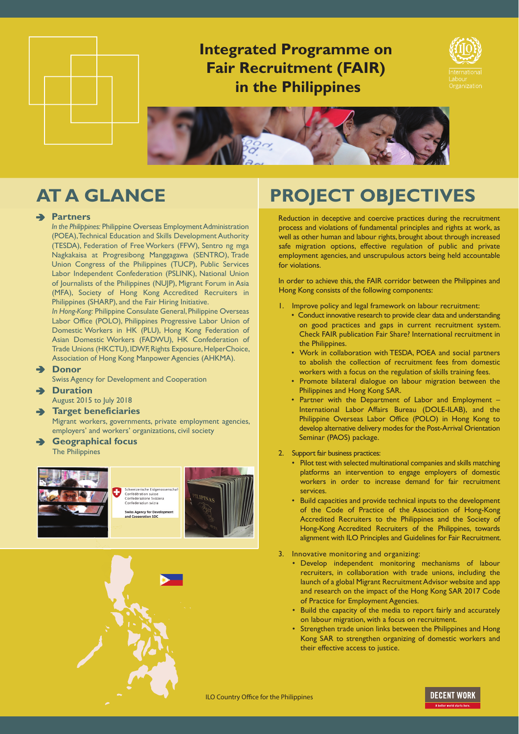

## **Integrated Programme on Fair Recruitment (FAIR) in the Philippines**





### **Partners**

*In the Philippines:* Philippine Overseas Employment Administration (POEA), Technical Education and Skills Development Authority (TESDA), Federation of Free Workers (FFW), Sentro ng mga Nagkakaisa at Progresibong Manggagawa (SENTRO), Trade Union Congress of the Philippines (TUCP), Public Services Labor Independent Confederation (PSLINK), National Union of Journalists of the Philippines (NUJP), Migrant Forum in Asia (MFA), Society of Hong Kong Accredited Recruiters in Philippines (SHARP), and the Fair Hiring Initiative.

*In Hong-Kong:* Philippine Consulate General, Philippine Overseas Labor Office (POLO), Philippines Progressive Labor Union of Domestic Workers in HK (PLU), Hong Kong Federation of Asian Domestic Workers (FADWU), HK Confederation of Trade Unions (HKCTU), IDWF, Rights Exposure, HelperChoice, Association of Hong Kong Manpower Agencies (AHKMA).

### **Donor**

Swiss Agency for Development and Cooperation

**Duration**

August 2015 to July 2018

**Target beneficiaries**

Migrant workers, governments, private employment agencies, employers' and workers' organizations, civil society

A **Geographical focus** The Philippines





# **AT A GLANCE PROJECT OBJECTIVES**

Reduction in deceptive and coercive practices during the recruitment process and violations of fundamental principles and rights at work, as well as other human and labour rights, brought about through increased safe migration options, effective regulation of public and private employment agencies, and unscrupulous actors being held accountable for violations.

In order to achieve this, the FAIR corridor between the Philippines and Hong Kong consists of the following components:

- 1. Improve policy and legal framework on labour recruitment:
	- Conduct innovative research to provide clear data and understanding on good practices and gaps in current recruitment system. Check FAIR publication Fair Share? International recruitment in the Philippines.
	- Work in collaboration with TESDA, POEA and social partners to abolish the collection of recruitment fees from domestic workers with a focus on the regulation of skills training fees.
	- Promote bilateral dialogue on labour migration between the Philippines and Hong Kong SAR.
	- Partner with the Department of Labor and Employment International Labor Affairs Bureau (DOLE-ILAB), and the Philippine Overseas Labor Office (POLO) in Hong Kong to develop alternative delivery modes for the Post-Arrival Orientation Seminar (PAOS) package.
- 2. Support fair business practices:
	- Pilot test with selected multinational companies and skills matching platforms an intervention to engage employers of domestic workers in order to increase demand for fair recruitment services.
	- Build capacities and provide technical inputs to the development of the Code of Practice of the Association of Hong-Kong Accredited Recruiters to the Philippines and the Society of Hong-Kong Accredited Recruiters of the Philippines, towards alignment with ILO Principles and Guidelines for Fair Recruitment.
- 3. Innovative monitoring and organizing:
	- Develop independent monitoring mechanisms of labour recruiters, in collaboration with trade unions, including the launch of a global Migrant Recruitment Advisor website and app and research on the impact of the Hong Kong SAR 2017 Code of Practice for Employment Agencies.
	- Build the capacity of the media to report fairly and accurately on labour migration, with a focus on recruitment.
	- Strengthen trade union links between the Philippines and Hong Kong SAR to strengthen organizing of domestic workers and their effective access to justice.

ILO Country Office for the Philippines